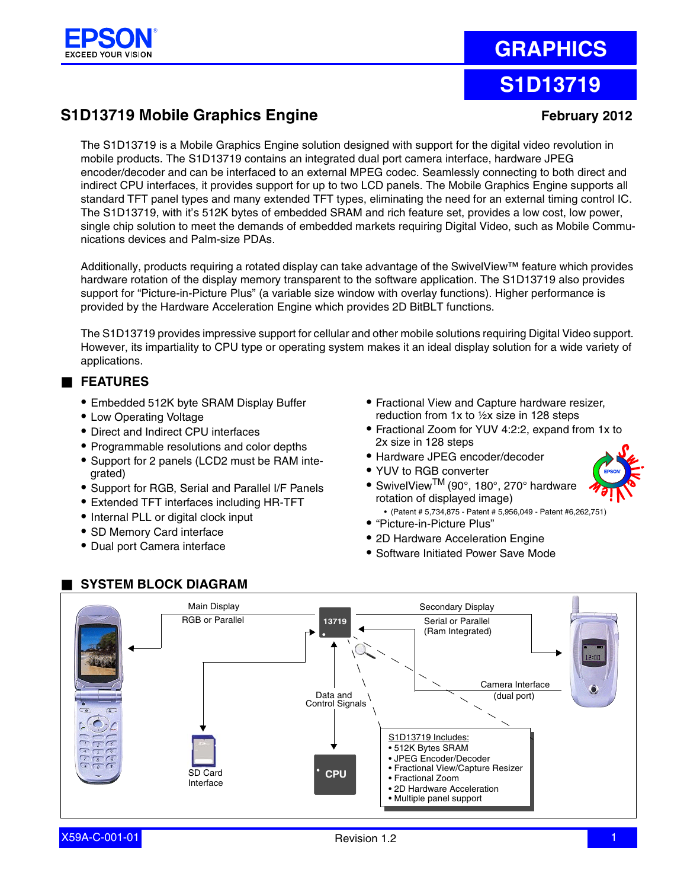

# **GRAPHICS**

## **S1D13719**

## **S1D13719 Mobile Graphics Engine February 2012**

The S1D13719 is a Mobile Graphics Engine solution designed with support for the digital video revolution in mobile products. The S1D13719 contains an integrated dual port camera interface, hardware JPEG encoder/decoder and can be interfaced to an external MPEG codec. Seamlessly connecting to both direct and indirect CPU interfaces, it provides support for up to two LCD panels. The Mobile Graphics Engine supports all standard TFT panel types and many extended TFT types, eliminating the need for an external timing control IC. The S1D13719, with it's 512K bytes of embedded SRAM and rich feature set, provides a low cost, low power, single chip solution to meet the demands of embedded markets requiring Digital Video, such as Mobile Communications devices and Palm-size PDAs.

Additionally, products requiring a rotated display can take advantage of the SwivelView™ feature which provides hardware rotation of the display memory transparent to the software application. The S1D13719 also provides support for "Picture-in-Picture Plus" (a variable size window with overlay functions). Higher performance is provided by the Hardware Acceleration Engine which provides 2D BitBLT functions.

The S1D13719 provides impressive support for cellular and other mobile solutions requiring Digital Video support. However, its impartiality to CPU type or operating system makes it an ideal display solution for a wide variety of applications.

## ■ **FEATURES**

- **•** Embedded 512K byte SRAM Display Buffer
- **•** Low Operating Voltage
- **•** Direct and Indirect CPU interfaces
- **•** Programmable resolutions and color depths
- **•** Support for 2 panels (LCD2 must be RAM integrated)
- **•** Support for RGB, Serial and Parallel I/F Panels
- **•** Extended TFT interfaces including HR-TFT
- **•** Internal PLL or digital clock input
- **•** SD Memory Card interface
- **•** Dual port Camera interface
- **•** Fractional View and Capture hardware resizer, reduction from 1x to ½x size in 128 steps
- **•** Fractional Zoom for YUV 4:2:2, expand from 1x to 2x size in 128 steps
- **•** Hardware JPEG encoder/decoder
- **•** YUV to RGB converter
- **•** SwivelViewTM (90°, 180°, 270° hardware rotation of displayed image)
	- (Patent # 5,734,875 Patent # 5,956,049 Patent #6,262,751)
- **•** "Picture-in-Picture Plus"
- **•** 2D Hardware Acceleration Engine
- **•** Software Initiated Power Save Mode